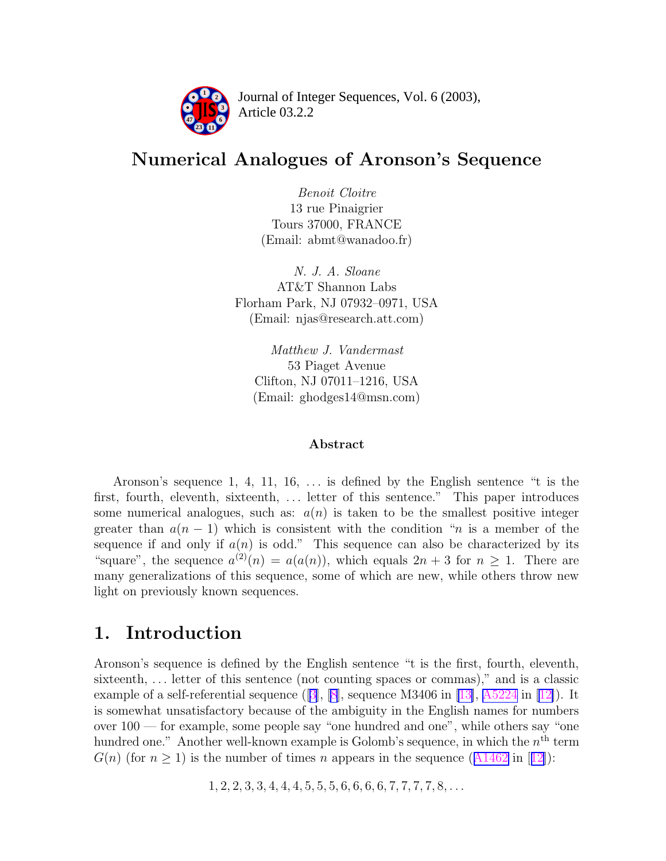

Article 03.2.2 **<sup>2</sup>** Journal of Integer Sequences, Vol. 6 (2003),

# Numerical Analogues of Aronson's Sequence

Benoit Cloitre 13 rue Pinaigrier Tours 37000, FRANCE (Email: abmt@wanadoo.fr)

N. J. A. Sloane AT&T Shannon Labs Florham Park, NJ 07932–0971, USA (Email: njas@research.att.com)

Matthew J. Vandermast 53 Piaget Avenue Clifton, NJ 07011–1216, USA (Email: ghodges14@msn.com)

#### Abstract

Aronson's sequence 1, 4, 11, 16, . . . is defined by the English sentence "t is the first, fourth, eleventh, sixteenth, . . . letter of this sentence." This paper introduces some numerical analogues, such as:  $a(n)$  is taken to be the smallest positive integer greater than  $a(n-1)$  which is consistent with the condition "n is a member of the sequence if and only if  $a(n)$  is odd." This sequence can also be characterized by its "square", the sequence  $a^{(2)}(n) = a(a(n))$ , which equals  $2n + 3$  for  $n \ge 1$ . There are many generalizations of this sequence, some of which are new, while others throw new light on previously known sequences.

# 1. Introduction

Aronson's sequence is defined by the English sentence "t is the first, fourth, eleventh, sixteenth, . . . letter of this sentence (not counting spaces or commas)," and is a classic example of a self-referential sequence  $([3], [8],$  $([3], [8],$  $([3], [8],$  $([3], [8],$  $([3], [8],$  sequence M3406 in [\[13\]](#page-13-0), [A5224](http://www.research.att.com/cgi-bin/access.cgi/as/njas/sequences/eisA.cgi?Anum=A005224) in [[12\]](#page-13-0)). It is somewhat unsatisfactory because of the ambiguity in the English names for numbers over 100 — for example, some people say "one hundred and one", while others say "one hundred one." Another well-known example is Golomb's sequence, in which the  $n<sup>th</sup>$  term  $G(n)$  (for  $n \geq 1$ ) is the number of times n appears in the sequence ([A1462](http://www.research.att.com/cgi-bin/access.cgi/as/njas/sequences/eisA.cgi?Anum=A001462) in [[12\]](#page-13-0)):

 $1, 2, 2, 3, 3, 4, 4, 4, 5, 5, 5, 6, 6, 6, 6, 7, 7, 7, 7, 8, \ldots$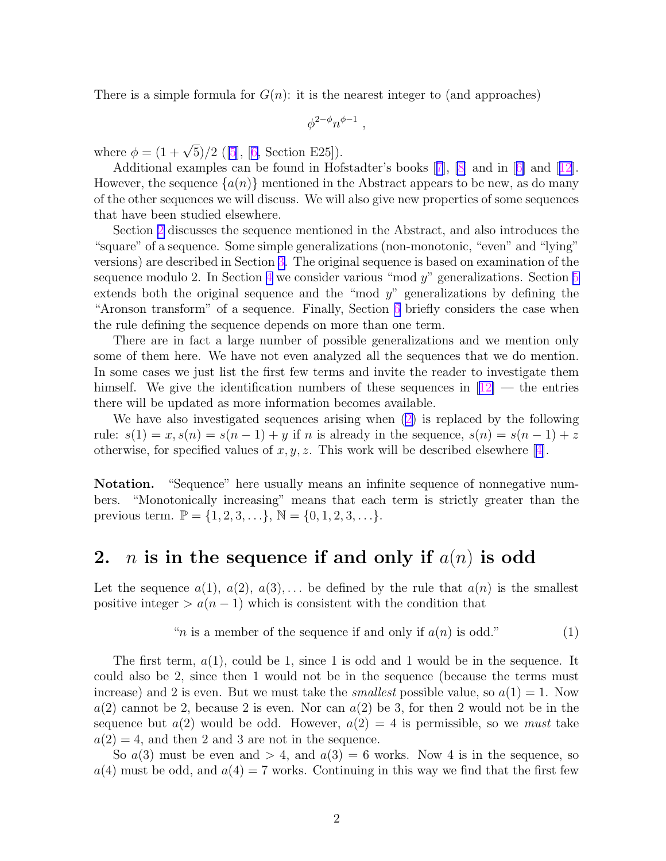<span id="page-1-0"></span>There is a simple formula for  $G(n)$ : it is the nearest integer to (and approaches)

 $\phi^{2-\phi} n^{\phi-1}$ ,

where  $\phi = (1 + \sqrt{5})/2$  ([\[5](#page-12-0)], [[6,](#page-12-0) Section E25]).

Additional examples can be found in Hofstadter's books [[7](#page-12-0)], [\[8\]](#page-13-0) and in [[6\]](#page-12-0) and [[12\]](#page-13-0). However, the sequence  $\{a(n)\}\$  mentioned in the Abstract appears to be new, as do many of the other sequences we will discuss. We will also give new properties of some sequences that have been studied elsewhere.

Section 2 discusses the sequence mentioned in the Abstract, and also introduces the "square" of a sequence. Some simple generalizations (non-monotonic, "even" and "lying" versions) are described in Section [3.](#page-5-0) The original sequence is based on examination of the sequence modulo 2. In Section [4](#page-6-0) we consider various "mod  $y$ " generalizations. Section [5](#page-10-0) extends both the original sequence and the "mod  $y$ " generalizations by defining the "Aronson transform" of a sequence. Finally, Section  $6$  briefly considers the case when the rule defining the sequence depends on more than one term.

There are in fact a large number of possible generalizations and we mention only some of them here. We have not even analyzed all the sequences that we do mention. In some cases we just list the first few terms and invite the reader to investigate them himself. We give the identification numbers of these sequences in  $[12]$  $[12]$  — the entries there will be updated as more information becomes available.

We have also investigated sequences arising when ([2\)](#page-2-0) is replaced by the following rule:  $s(1) = x, s(n) = s(n-1) + y$  if n is already in the sequence,  $s(n) = s(n-1) + z$ otherwise, for specified values of  $x, y, z$ . This work will be described elsewhere [[4\]](#page-12-0).

Notation. "Sequence" here usually means an infinite sequence of nonnegative numbers. "Monotonically increasing" means that each term is strictly greater than the previous term.  $\mathbb{P} = \{1, 2, 3, \ldots\}, \mathbb{N} = \{0, 1, 2, 3, \ldots\}.$ 

### 2. *n* is in the sequence if and only if  $a(n)$  is odd

Let the sequence  $a(1), a(2), a(3), \ldots$  be defined by the rule that  $a(n)$  is the smallest positive integer  $>a(n-1)$  which is consistent with the condition that

"*n* is a member of the sequence if and only if 
$$
a(n)
$$
 is odd." 
$$
(1)
$$

The first term,  $a(1)$ , could be 1, since 1 is odd and 1 would be in the sequence. It could also be 2, since then 1 would not be in the sequence (because the terms must increase) and 2 is even. But we must take the *smallest* possible value, so  $a(1) = 1$ . Now  $a(2)$  cannot be 2, because 2 is even. Nor can  $a(2)$  be 3, for then 2 would not be in the sequence but  $a(2)$  would be odd. However,  $a(2) = 4$  is permissible, so we must take  $a(2) = 4$ , and then 2 and 3 are not in the sequence.

So  $a(3)$  must be even and  $> 4$ , and  $a(3) = 6$  works. Now 4 is in the sequence, so  $a(4)$  must be odd, and  $a(4) = 7$  works. Continuing in this way we find that the first few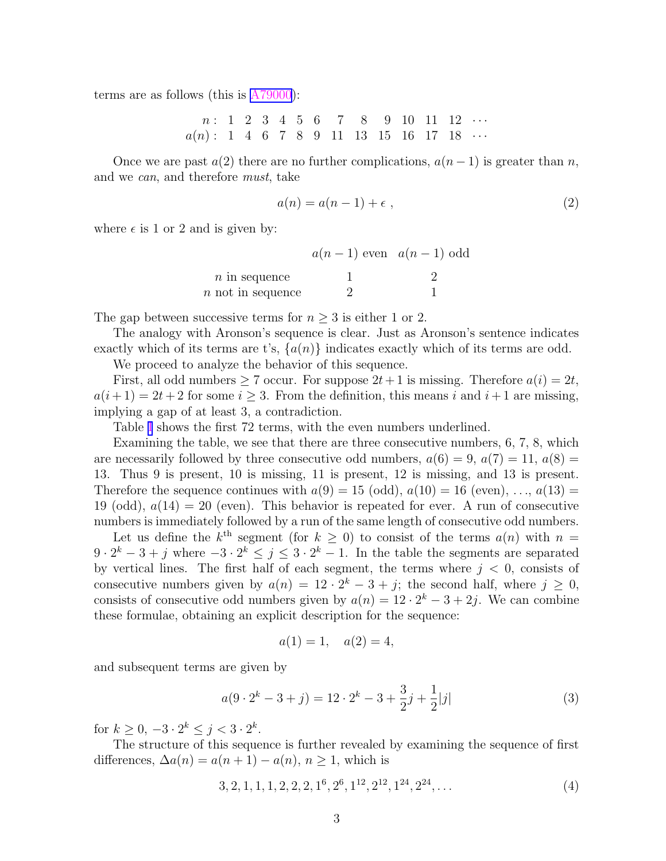<span id="page-2-0"></span>terms are as follows (this is [A79000](http://www.research.att.com/cgi-bin/access.cgi/as/njas/sequences/eisA.cgi?Anum=A079000)):

 $n: 1 \t2 \t3 \t4 \t5 \t6 \t7 \t8 \t9 \t10 \t11 \t12 \t...$  $a(n):$  1 4 6 7 8 9 11 13 15 16 17 18  $\cdots$ 

Once we are past  $a(2)$  there are no further complications,  $a(n-1)$  is greater than n, and we can, and therefore must, take

$$
a(n) = a(n-1) + \epsilon \t{,} \t(2)
$$

where  $\epsilon$  is 1 or 2 and is given by:

 $a(n-1)$  even  $a(n-1)$  odd  $n \text{ in sequence } 1$  2  $n \text{ not in sequence}$  2 1

The gap between successive terms for  $n \geq 3$  is either 1 or 2.

The analogy with Aronson's sequence is clear. Just as Aronson's sentence indicates exactly which of its terms are t's,  $\{a(n)\}\$  indicates exactly which of its terms are odd.

We proceed to analyze the behavior of this sequence.

First, all odd numbers  $\geq 7$  occur. For suppose  $2t+1$  is missing. Therefore  $a(i) = 2t$ ,  $a(i+1) = 2t+2$  for some  $i \geq 3$ . From the definition, this means i and  $i+1$  are missing, implying a gap of at least 3, a contradiction.

Table [I](#page-3-0) shows the first 72 terms, with the even numbers underlined.

Examining the table, we see that there are three consecutive numbers, 6, 7, 8, which are necessarily followed by three consecutive odd numbers,  $a(6) = 9$ ,  $a(7) = 11$ ,  $a(8) =$ 13. Thus 9 is present, 10 is missing, 11 is present, 12 is missing, and 13 is present. Therefore the sequence continues with  $a(9) = 15$  (odd),  $a(10) = 16$  (even), ...,  $a(13) =$ 19 (odd),  $a(14) = 20$  (even). This behavior is repeated for ever. A run of consecutive numbers is immediately followed by a run of the same length of consecutive odd numbers.

Let us define the  $k^{\text{th}}$  segment (for  $k \geq 0$ ) to consist of the terms  $a(n)$  with  $n =$  $9 \cdot 2^k - 3 + j$  where  $-3 \cdot 2^k \leq j \leq 3 \cdot 2^k - 1$ . In the table the segments are separated by vertical lines. The first half of each segment, the terms where  $j < 0$ , consists of consecutive numbers given by  $a(n) = 12 \cdot 2^k - 3 + j$ ; the second half, where  $j \geq 0$ , consists of consecutive odd numbers given by  $a(n) = 12 \cdot 2^k - 3 + 2j$ . We can combine these formulae, obtaining an explicit description for the sequence:

$$
a(1) = 1, \quad a(2) = 4,
$$

and subsequent terms are given by

$$
a(9 \cdot 2^{k} - 3 + j) = 12 \cdot 2^{k} - 3 + \frac{3}{2}j + \frac{1}{2}|j|
$$
\n(3)

for  $k \geq 0, -3 \cdot 2^k \leq j < 3 \cdot 2^k$ .

The structure of this sequence is further revealed by examining the sequence of first differences,  $\Delta a(n) = a(n+1) - a(n), n \ge 1$ , which is

$$
3, 2, 1, 1, 1, 2, 2, 2, 16, 26, 112, 212, 124, 224, ...
$$
\n(4)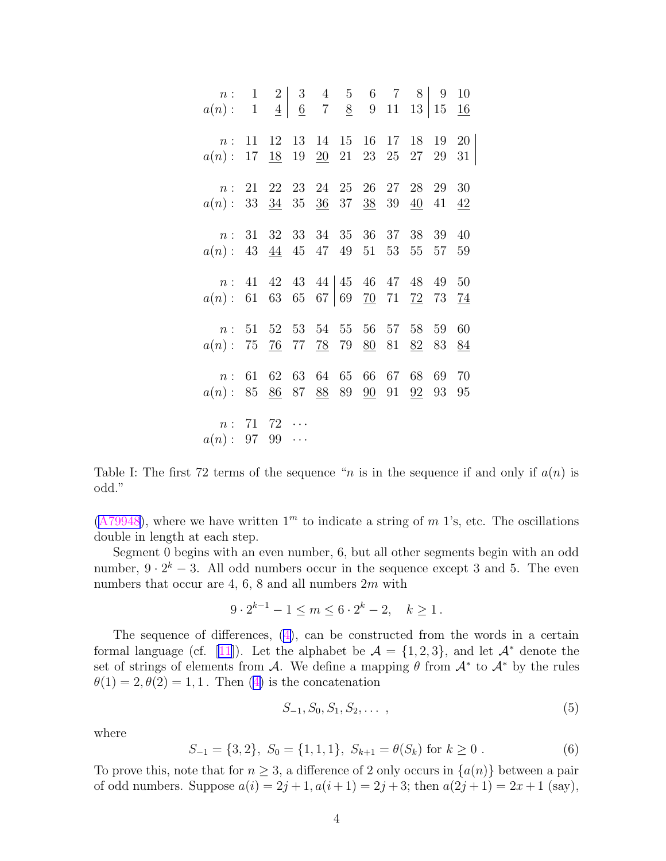<span id="page-3-0"></span>

| $\begin{array}{cccc cccc} n: & 1 & 2 & 3 & 4 & 5 & 6 & 7 & 8 & 9 & 10 \\ \hline a(n): & 1 & 4 & 6 & 7 & 8 & 9 & 11 & 13 & 15 & \underline{16} \end{array}$ |                                                                                 |  |  |  |    |                                    |
|------------------------------------------------------------------------------------------------------------------------------------------------------------|---------------------------------------------------------------------------------|--|--|--|----|------------------------------------|
|                                                                                                                                                            |                                                                                 |  |  |  |    | $n: 11$ 12 13 14 15 16 17 18 19 20 |
| $a(n):$ 17 18 19 20 21 23 25 27 29                                                                                                                         |                                                                                 |  |  |  |    | 31                                 |
|                                                                                                                                                            | $n: 21$ 22 23 24 25 26 27 28 29 30                                              |  |  |  |    |                                    |
| $a(n):$ 33 $\frac{34}{1}$ 35 $\frac{36}{1}$ 37 $\frac{38}{1}$ 39 $\frac{40}{11}$ 41                                                                        |                                                                                 |  |  |  |    | $\overline{42}$                    |
|                                                                                                                                                            | $n: 31$ 32 33 34 35 36 37 38 39                                                 |  |  |  |    | 40                                 |
| $a(n):$ 43 $\frac{44}{1}$ 45 47 49 51 53 55 57                                                                                                             |                                                                                 |  |  |  |    | 59                                 |
|                                                                                                                                                            | $n: 41 \quad 42 \quad 43 \quad 44 \quad 45 \quad 46 \quad 47 \quad 48 \quad 49$ |  |  |  |    | 50                                 |
| $a(n):$ 61 63 65 67 69 70 71 72 73 74                                                                                                                      |                                                                                 |  |  |  |    |                                    |
|                                                                                                                                                            | $n: 51$ 52 53 54 55 56 57 58 59                                                 |  |  |  |    | 60                                 |
| $a(n):$ 75 76 77 78 79 80 81 82 83                                                                                                                         |                                                                                 |  |  |  |    | <u>84</u>                          |
| $n$ :                                                                                                                                                      | 61 62 63 64 65 66 67 68 69 70                                                   |  |  |  |    |                                    |
| $a(n):$ 85 86 87 88 89 90 91 92                                                                                                                            |                                                                                 |  |  |  | 93 | 95                                 |
| $n: 71 \t 72 \t \cdots$                                                                                                                                    |                                                                                 |  |  |  |    |                                    |
| $a(n): 97 99 \cdots$                                                                                                                                       |                                                                                 |  |  |  |    |                                    |

Table I: The first 72 terms of the sequence "*n* is in the sequence if and only if  $a(n)$  is odd."

 $(A79948)$  $(A79948)$ , where we have written  $1<sup>m</sup>$  to indicate a string of m 1's, etc. The oscillations double in length at each step.

Segment 0 begins with an even number, 6, but all other segments begin with an odd number,  $9 \cdot 2^k - 3$ . All odd numbers occur in the sequence except 3 and 5. The even numbers that occur are 4, 6, 8 and all numbers  $2m$  with

$$
9 \cdot 2^{k-1} - 1 \le m \le 6 \cdot 2^k - 2, \quad k \ge 1.
$$

The sequence of differences,  $(4)$  $(4)$ , can be constructed from the words in a certain formal language (cf. [\[11\]](#page-13-0)). Let the alphabet be  $\mathcal{A} = \{1,2,3\}$ , and let  $\mathcal{A}^*$  denote the set of strings of elements from A. We define a mapping  $\theta$  from  $\mathcal{A}^*$  to  $\mathcal{A}^*$  by the rules  $\theta(1) = 2, \theta(2) = 1, 1$ . Then ([4\)](#page-2-0) is the concatenation

$$
S_{-1}, S_0, S_1, S_2, \dots \t{5}
$$

where

$$
S_{-1} = \{3, 2\}, S_0 = \{1, 1, 1\}, S_{k+1} = \theta(S_k) \text{ for } k \ge 0.
$$
 (6)

To prove this, note that for  $n \geq 3$ , a difference of 2 only occurs in  $\{a(n)\}\$  between a pair of odd numbers. Suppose  $a(i) = 2j + 1, a(i + 1) = 2j + 3$ ; then  $a(2j + 1) = 2x + 1$  (say),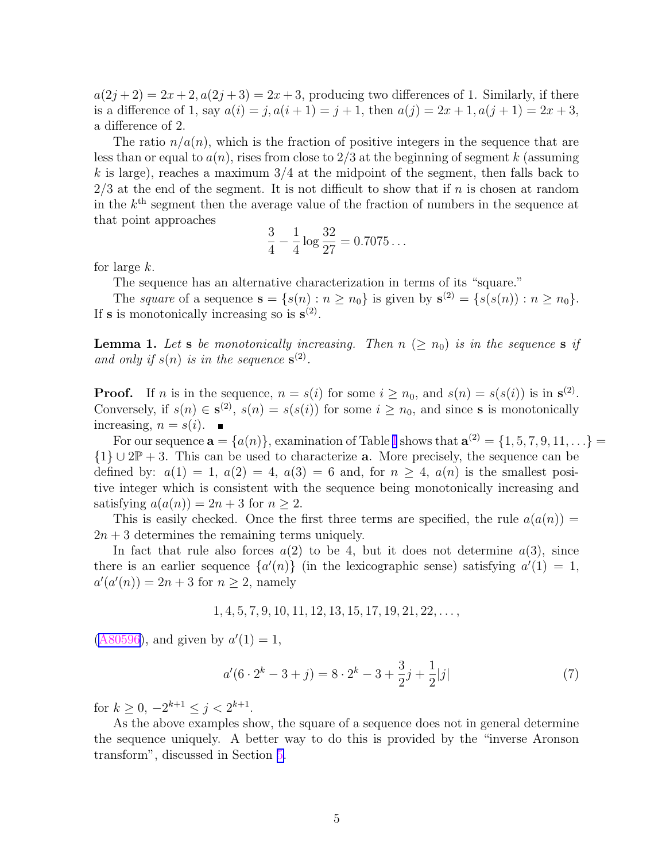<span id="page-4-0"></span> $a(2j+2) = 2x+2, a(2j+3) = 2x+3$ , producing two differences of 1. Similarly, if there is a difference of 1, say  $a(i) = j$ ,  $a(i + 1) = j + 1$ , then  $a(j) = 2x + 1$ ,  $a(j + 1) = 2x + 3$ , a difference of 2.

The ratio  $n/a(n)$ , which is the fraction of positive integers in the sequence that are less than or equal to  $a(n)$ , rises from close to 2/3 at the beginning of segment k (assuming  $k$  is large), reaches a maximum  $3/4$  at the midpoint of the segment, then falls back to  $2/3$  at the end of the segment. It is not difficult to show that if n is chosen at random in the  $k<sup>th</sup>$  segment then the average value of the fraction of numbers in the sequence at that point approaches

$$
\frac{3}{4} - \frac{1}{4} \log \frac{32}{27} = 0.7075 \dots
$$

for large k.

The sequence has an alternative characterization in terms of its "square."

The square of a sequence  $\mathbf{s} = \{s(n) : n \ge n_0\}$  is given by  $\mathbf{s}^{(2)} = \{s(s(n)) : n \ge n_0\}.$ If **s** is monotonically increasing so is  $s^{(2)}$ .

**Lemma 1.** Let **s** be monotonically increasing. Then  $n \geq n_0$  is in the sequence **s** if and only if  $s(n)$  is in the sequence  $s^{(2)}$ .

**Proof.** If *n* is in the sequence,  $n = s(i)$  for some  $i \geq n_0$ , and  $s(n) = s(s(i))$  is in  $s^{(2)}$ . Conversely, if  $s(n) \in \mathbf{s}^{(2)}$ ,  $s(n) = s(s(i))$  for some  $i \geq n_0$ , and since **s** is monotonically increasing,  $n = s(i)$ .

For our sequence  $\mathbf{a} = \{a(n)\}\)$ , examination of Table [I](#page-3-0) shows that  $\mathbf{a}^{(2)} = \{1, 5, 7, 9, 11, \ldots\} =$  ${1} \cup 2\mathbb{P} + 3$ . This can be used to characterize **a**. More precisely, the sequence can be defined by:  $a(1) = 1$ ,  $a(2) = 4$ ,  $a(3) = 6$  and, for  $n \ge 4$ ,  $a(n)$  is the smallest positive integer which is consistent with the sequence being monotonically increasing and satisfying  $a(a(n)) = 2n + 3$  for  $n \geq 2$ .

This is easily checked. Once the first three terms are specified, the rule  $a(a(n)) =$  $2n + 3$  determines the remaining terms uniquely.

In fact that rule also forces  $a(2)$  to be 4, but it does not determine  $a(3)$ , since there is an earlier sequence  $\{a'(n)\}\$  (in the lexicographic sense) satisfying  $a'(1) = 1$ ,  $a'(a'(n)) = 2n + 3$  for  $n \ge 2$ , namely

$$
1, 4, 5, 7, 9, 10, 11, 12, 13, 15, 17, 19, 21, 22, \ldots,
$$

 $(A80596)$  $(A80596)$ , and given by  $a'(1) = 1$ ,

$$
a'(6 \cdot 2^{k} - 3 + j) = 8 \cdot 2^{k} - 3 + \frac{3}{2}j + \frac{1}{2}|j|
$$
\n(7)

for  $k \geq 0, -2^{k+1} \leq j < 2^{k+1}$ .

As the above examples show, the square of a sequence does not in general determine the sequence uniquely. A better way to do this is provided by the "inverse Aronson transform", discussed in Section [5.](#page-10-0)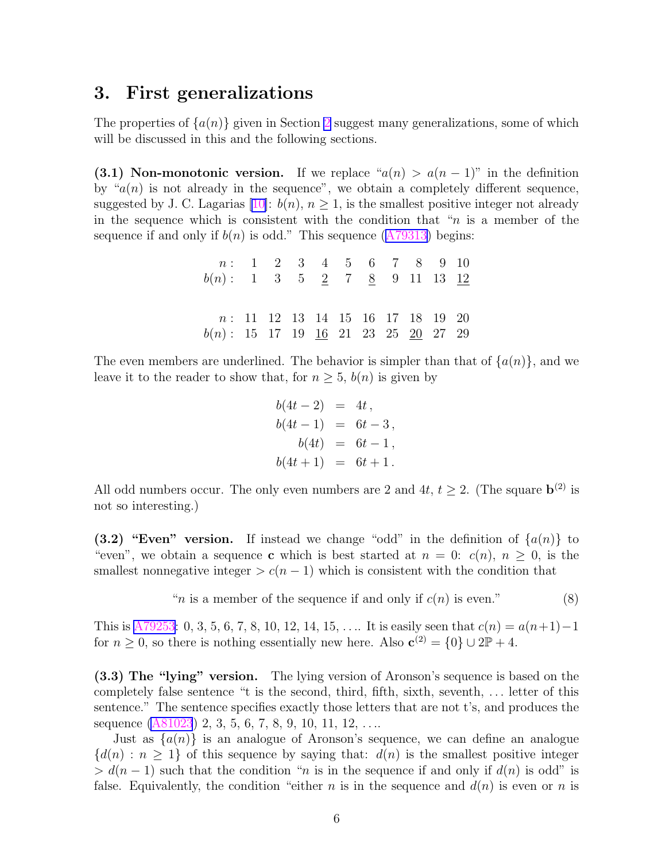## <span id="page-5-0"></span>3. First generalizations

The properties of  $\{a(n)\}\$  given in Section [2](#page-1-0) suggest many generalizations, some of which will be discussed in this and the following sections.

(3.1) Non-monotonic version. If we replace " $a(n) > a(n-1)$ " in the definition by " $a(n)$  is not already in the sequence", we obtain a completely different sequence, suggested by J. C. Lagarias [[10\]](#page-13-0):  $b(n)$ ,  $n \geq 1$ , is the smallest positive integer not already in the sequence which is consistent with the condition that " $n$  is a member of the sequence if and only if  $b(n)$  is odd." This sequence  $(A79313)$  $(A79313)$  begins:

| n: 1 2 3 4 5 6 7 8 9 10                             |                                    |  |  |  |  |
|-----------------------------------------------------|------------------------------------|--|--|--|--|
| $b(n):$ 1 3 5 <u>2</u> 7 <u>8</u> 9 11 13 12        |                                    |  |  |  |  |
|                                                     |                                    |  |  |  |  |
|                                                     |                                    |  |  |  |  |
|                                                     | $n: 11$ 12 13 14 15 16 17 18 19 20 |  |  |  |  |
| $b(n):$ 15 17 19 <u>16</u> 21 23 25 <u>20</u> 27 29 |                                    |  |  |  |  |

The even members are underlined. The behavior is simpler than that of  $\{a(n)\}\$ , and we leave it to the reader to show that, for  $n \geq 5$ ,  $b(n)$  is given by

$$
b(4t - 2) = 4t, \n b(4t - 1) = 6t - 3, \n b(4t) = 6t - 1, \n b(4t + 1) = 6t + 1.
$$

All odd numbers occur. The only even numbers are 2 and 4t,  $t \geq 2$ . (The square  $\mathbf{b}^{(2)}$  is not so interesting.)

(3.2) "Even" version. If instead we change "odd" in the definition of  $\{a(n)\}\)$  to "even", we obtain a sequence **c** which is best started at  $n = 0$ :  $c(n)$ ,  $n \ge 0$ , is the smallest nonnegative integer  $>c(n-1)$  which is consistent with the condition that

"*n* is a member of the sequence if and only if  $c(n)$  is even." (8)

This is [A79253](http://www.research.att.com/cgi-bin/access.cgi/as/njas/sequences/eisA.cgi?Anum=A079253): 0, 3, 5, 6, 7, 8, 10, 12, 14, 15, . . . It is easily seen that  $c(n) = a(n+1)-1$ for  $n \geq 0$ , so there is nothing essentially new here. Also  $\mathbf{c}^{(2)} = \{0\} \cup 2\mathbb{P} + 4$ .

(3.3) The "lying" version. The lying version of Aronson's sequence is based on the completely false sentence "t is the second, third, fifth, sixth, seventh, . . . letter of this sentence." The sentence specifies exactly those letters that are not t's, and produces the sequence  $(A81023)$  $(A81023)$  2, 3, 5, 6, 7, 8, 9, 10, 11, 12, ...

Just as  $\{a(n)\}\$ is an analogue of Aronson's sequence, we can define an analogue  $\{d(n): n \geq 1\}$  of this sequence by saying that:  $d(n)$  is the smallest positive integer  $> d(n-1)$  such that the condition "*n* is in the sequence if and only if  $d(n)$  is odd" is false. Equivalently, the condition "either n is in the sequence and  $d(n)$  is even or n is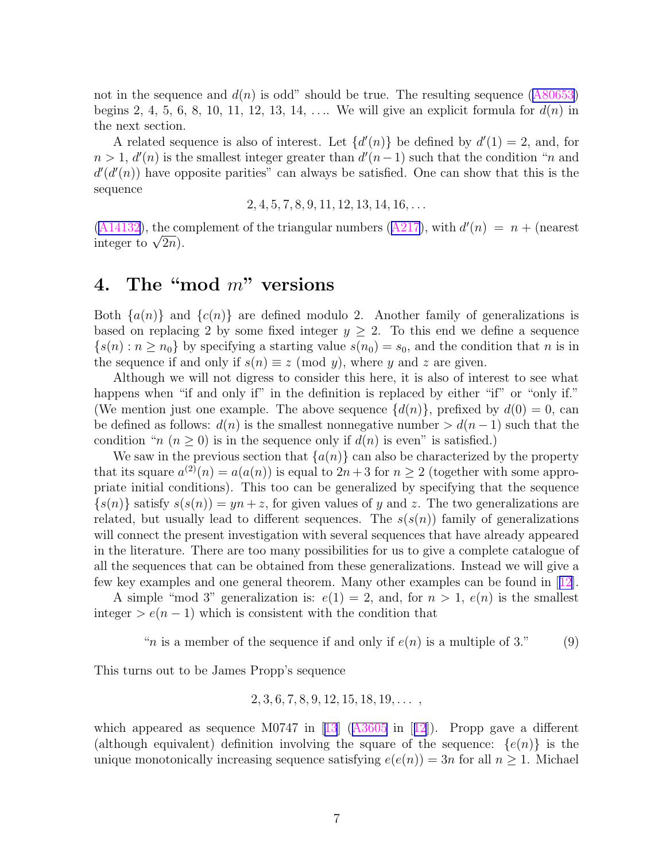<span id="page-6-0"></span>not in the sequence and  $d(n)$  is odd" should be true. The resulting sequence ([A80653\)](http://www.research.att.com/cgi-bin/access.cgi/as/njas/sequences/eisA.cgi?Anum=A080653) begins 2, 4, 5, 6, 8, 10, 11, 12, 13, 14, .... We will give an explicit formula for  $d(n)$  in the next section.

A related sequence is also of interest. Let  $\{d'(n)\}\$ be defined by  $d'(1) = 2$ , and, for  $n > 1$ ,  $d'(n)$  is the smallest integer greater than  $d'(n-1)$  such that the condition "n and  $d'(d'(n))$  have opposite parities" can always be satisfied. One can show that this is the sequence

$$
2, 4, 5, 7, 8, 9, 11, 12, 13, 14, 16, \ldots
$$

([A14132\)](http://www.research.att.com/cgi-bin/access.cgi/as/njas/sequences/eisA.cgi?Anum=A014132), the complement of the triangular numbers ([A217\)](http://www.research.att.com/cgi-bin/access.cgi/as/njas/sequences/eisA.cgi?Anum=A000217), with  $d'(n) = n + (n$ earest integer to  $\sqrt{2n}$ ).

### 4. The "mod  $m$ " versions

Both  $\{a(n)\}\$ and  $\{c(n)\}\$ are defined modulo 2. Another family of generalizations is based on replacing 2 by some fixed integer  $y \geq 2$ . To this end we define a sequence  ${s(n): n \ge n_0}$  by specifying a starting value  $s(n_0) = s_0$ , and the condition that n is in the sequence if and only if  $s(n) \equiv z \pmod{y}$ , where y and z are given.

Although we will not digress to consider this here, it is also of interest to see what happens when "if and only if" in the definition is replaced by either "if" or "only if." (We mention just one example. The above sequence  $\{d(n)\}\,$ , prefixed by  $d(0) = 0$ , can be defined as follows:  $d(n)$  is the smallest nonnegative number  $>d(n-1)$  such that the condition " $n (n \geq 0)$  is in the sequence only if  $d(n)$  is even" is satisfied.)

We saw in the previous section that  ${a(n)}$  can also be characterized by the property that its square  $a^{(2)}(n) = a(a(n))$  is equal to  $2n+3$  for  $n \ge 2$  (together with some appropriate initial conditions). This too can be generalized by specifying that the sequence  $\{s(n)\}\$  satisfy  $s(s(n)) = yn + z$ , for given values of y and z. The two generalizations are related, but usually lead to different sequences. The  $s(s(n))$  family of generalizations will connect the present investigation with several sequences that have already appeared in the literature. There are too many possibilities for us to give a complete catalogue of all the sequences that can be obtained from these generalizations. Instead we will give a few key examples and one general theorem. Many other examples can be found in [[12\]](#page-13-0).

A simple "mod 3" generalization is:  $e(1) = 2$ , and, for  $n > 1$ ,  $e(n)$  is the smallest integer  $> e(n-1)$  which is consistent with the condition that

"*n* is a member of the sequence if and only if  $e(n)$  is a multiple of 3." (9)

This turns out to be James Propp's sequence

$$
2, 3, 6, 7, 8, 9, 12, 15, 18, 19, \ldots
$$

which appeared as sequence M0747 in [[13](#page-13-0)]  $(A3605 \text{ in } [12])$  $(A3605 \text{ in } [12])$  $(A3605 \text{ in } [12])$  $(A3605 \text{ in } [12])$  $(A3605 \text{ in } [12])$ . Propp gave a different (although equivalent) definition involving the square of the sequence:  $\{e(n)\}\$ is the unique monotonically increasing sequence satisfying  $e(e(n)) = 3n$  for all  $n \geq 1$ . Michael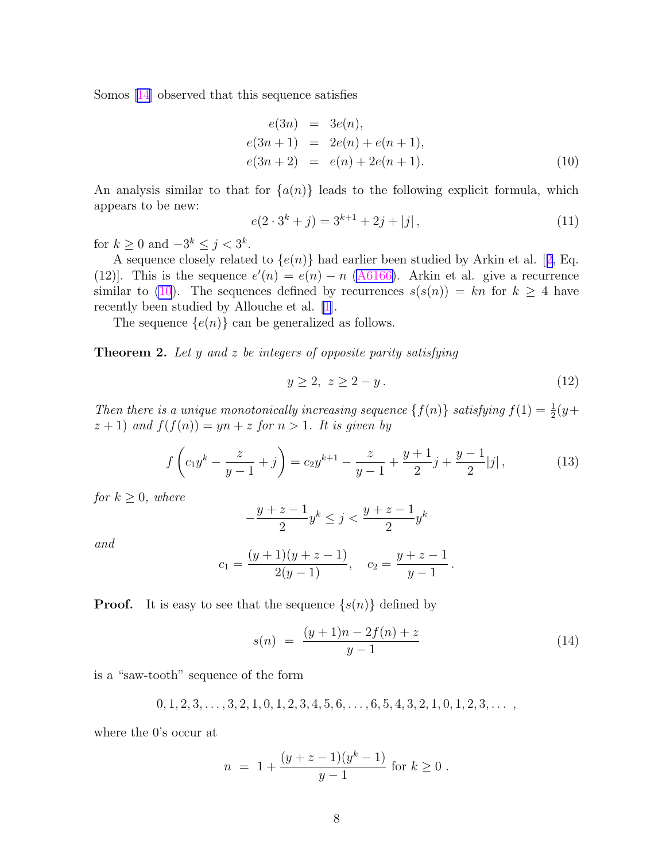<span id="page-7-0"></span>Somos [\[14\]](#page-13-0) observed that this sequence satisfies

$$
e(3n) = 3e(n),e(3n+1) = 2e(n) + e(n+1),e(3n+2) = e(n) + 2e(n+1).
$$
 (10)

An analysis similar to that for  $\{a(n)\}\$  leads to the following explicit formula, which appears to be new:

$$
e(2 \cdot 3^{k} + j) = 3^{k+1} + 2j + |j|,
$$
\n(11)

for  $k \geq 0$  and  $-3^k \leq j < 3^k$ .

A sequence closely related to  $\{e(n)\}\$ had earlier been studied by Arkin et al. [[2,](#page-12-0) Eq. (12)]. This is the sequence  $e'(n) = e(n) - n$  [\(A6166\)](http://www.research.att.com/cgi-bin/access.cgi/as/njas/sequences/eisA.cgi?Anum=A006166). Arkin et al. give a recurrence similar to (10). The sequences defined by recurrences  $s(s(n)) = kn$  for  $k \geq 4$  have recently been studied by Allouche et al. [[1\]](#page-12-0).

The sequence  $\{e(n)\}\$ can be generalized as follows.

**Theorem 2.** Let  $y$  and  $z$  be integers of opposite parity satisfying

$$
y \ge 2, \ z \ge 2 - y. \tag{12}
$$

Then there is a unique monotonically increasing sequence  $\{f(n)\}\$  satisfying  $f(1) = \frac{1}{2}$  $rac{1}{2}(y+$  $z+1$ ) and  $f(f(n)) = yn + z$  for  $n > 1$ . It is given by

$$
f\left(c_1y^k - \frac{z}{y-1} + j\right) = c_2y^{k+1} - \frac{z}{y-1} + \frac{y+1}{2}j + \frac{y-1}{2}|j|,
$$
 (13)

for  $k \geq 0$ , where

$$
-\frac{y+z-1}{2}y^k \le j < \frac{y+z-1}{2}y^k
$$

and

$$
c_1 = \frac{(y+1)(y+z-1)}{2(y-1)}, \quad c_2 = \frac{y+z-1}{y-1}.
$$

**Proof.** It is easy to see that the sequence  $\{s(n)\}\$  defined by

$$
s(n) = \frac{(y+1)n - 2f(n) + z}{y-1}
$$
\n(14)

is a "saw-tooth" sequence of the form

 $0, 1, 2, 3, \ldots, 3, 2, 1, 0, 1, 2, 3, 4, 5, 6, \ldots, 6, 5, 4, 3, 2, 1, 0, 1, 2, 3, \ldots,$ 

where the 0's occur at

$$
n = 1 + \frac{(y+z-1)(y^k-1)}{y-1}
$$
 for  $k \ge 0$ .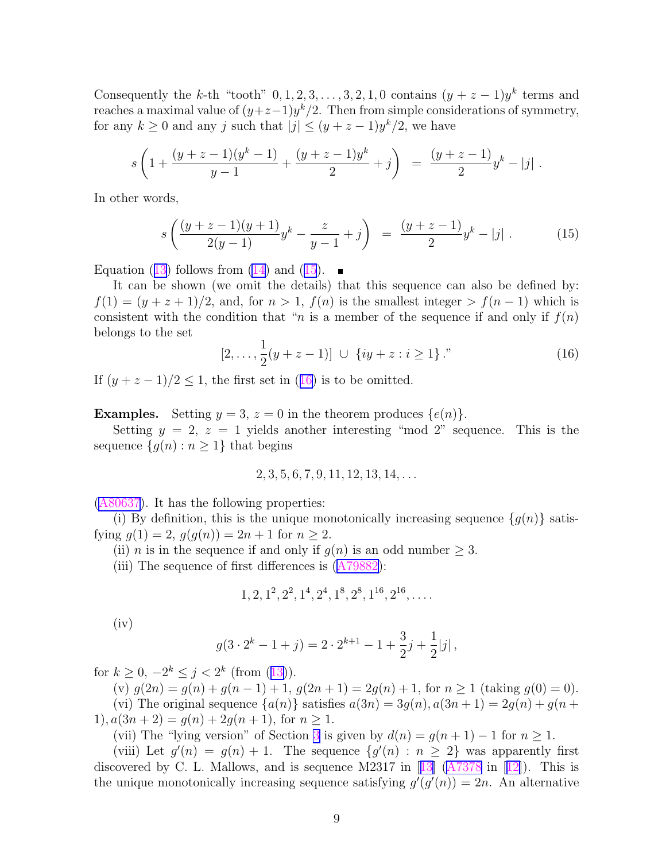Consequently the k-th "tooth"  $0, 1, 2, 3, \ldots, 3, 2, 1, 0$  contains  $(y + z - 1)y^k$  terms and reaches a maximal value of  $(y+z-1)y^k/2$ . Then from simple considerations of symmetry, for any  $k \geq 0$  and any j such that  $|j| \leq (y + z - 1)y^{k}/2$ , we have

$$
s\left(1+\frac{(y+z-1)(y^k-1)}{y-1}+\frac{(y+z-1)y^k}{2}+j\right) = \frac{(y+z-1)}{2}y^k - |j|.
$$

In other words,

$$
s\left(\frac{(y+z-1)(y+1)}{2(y-1)}y^k-\frac{z}{y-1}+j\right) = \frac{(y+z-1)}{2}y^k-|j|.
$$
 (15)

Equation ([13](#page-7-0)) follows from [\(14\)](#page-7-0) and (15).  $\blacksquare$ 

It can be shown (we omit the details) that this sequence can also be defined by:  $f(1) = (y + z + 1)/2$ , and, for  $n > 1$ ,  $f(n)$  is the smallest integer  $> f(n-1)$  which is consistent with the condition that "n is a member of the sequence if and only if  $f(n)$ belongs to the set

$$
[2, \ldots, \frac{1}{2}(y+z-1)] \cup \{iy+z : i \ge 1\}.
$$
 (16)

If  $(y + z - 1)/2 \le 1$ , the first set in (16) is to be omitted.

**Examples.** Setting  $y = 3$ ,  $z = 0$  in the theorem produces  $\{e(n)\}.$ 

Setting  $y = 2$ ,  $z = 1$  yields another interesting "mod 2" sequence. This is the sequence  $\{g(n) : n \geq 1\}$  that begins

 $2, 3, 5, 6, 7, 9, 11, 12, 13, 14, \ldots$ 

([A80637\)](http://www.research.att.com/cgi-bin/access.cgi/as/njas/sequences/eisA.cgi?Anum=A080637). It has the following properties:

(i) By definition, this is the unique monotonically increasing sequence  $\{g(n)\}\$  satisfying  $g(1) = 2$ ,  $g(g(n)) = 2n + 1$  for  $n \ge 2$ .

(ii) *n* is in the sequence if and only if  $g(n)$  is an odd number  $\geq 3$ .

(iii) The sequence of first differences is ([A79882\)](http://www.research.att.com/cgi-bin/access.cgi/as/njas/sequences/eisA.cgi?Anum=A079882):

$$
1, 2, 1^2, 2^2, 1^4, 2^4, 1^8, 2^8, 1^{16}, 2^{16}, \ldots
$$

 $(iv)$ 

$$
g(3 \cdot 2^{k} - 1 + j) = 2 \cdot 2^{k+1} - 1 + \frac{3}{2}j + \frac{1}{2}|j|,
$$

for  $k \ge 0, -2^k \le j < 2^k$  (from ([13\)](#page-7-0)).

(v)  $g(2n) = g(n) + g(n-1) + 1$ ,  $g(2n+1) = 2g(n) + 1$ , for  $n \ge 1$  (taking  $g(0) = 0$ ). (vi) The original sequence  $\{a(n)\}\$  satisfies  $a(3n) = 3g(n), a(3n+1) = 2g(n) + g(n+1)$ 1),  $a(3n+2) = g(n) + 2g(n+1)$ , for  $n \ge 1$ .

(vii) The "lying version" of Section [3](#page-5-0) is given by  $d(n) = g(n + 1) - 1$  for  $n \ge 1$ .

(viii) Let  $g'(n) = g(n) + 1$ . The sequence  $\{g'(n) : n \geq 2\}$  was apparently first discovered by C. L. Mallows, and is sequence M2317 in [[13](#page-13-0)] ([A7378](http://www.research.att.com/cgi-bin/access.cgi/as/njas/sequences/eisA.cgi?Anum=A007378) in [[12\]](#page-13-0)). This is the unique monotonically increasing sequence satisfying  $g'(g'(n)) = 2n$ . An alternative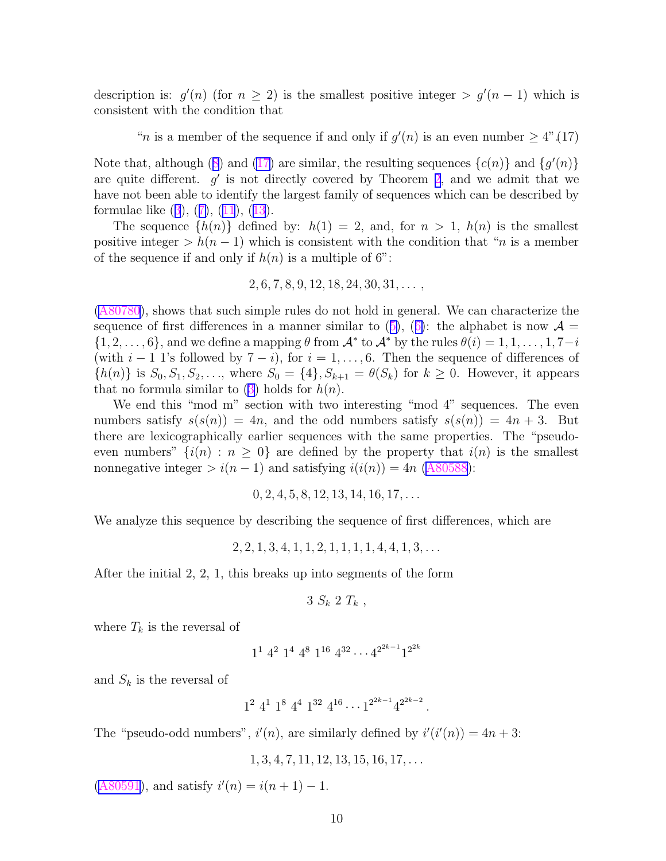description is:  $g'(n)$  (for  $n \geq 2$ ) is the smallest positive integer >  $g'(n-1)$  which is consistent with the condition that

"*n* is a member of the sequence if and only if  $g'(n)$  is an even number  $\geq 4$ " (17)

Note that, although ([8](#page-5-0)) and (17) are similar, the resulting sequences  $\{c(n)\}$  and  $\{g'(n)\}$ are quite different.  $g'$  is not directly covered by Theorem [2](#page-7-0), and we admit that we have not been able to identify the largest family of sequences which can be described by formulae like ([3](#page-2-0)), ([7\)](#page-4-0), ([11](#page-7-0)), ([13](#page-7-0)).

The sequence  $\{h(n)\}\$  defined by:  $h(1) = 2$ , and, for  $n > 1$ ,  $h(n)$  is the smallest positive integer >  $h(n-1)$  which is consistent with the condition that "n is a member of the sequence if and only if  $h(n)$  is a multiple of 6":

$$
2, 6, 7, 8, 9, 12, 18, 24, 30, 31, \ldots,
$$

([A80780\)](http://www.research.att.com/cgi-bin/access.cgi/as/njas/sequences/eisA.cgi?Anum=A080780), shows that such simple rules do not hold in general. We can characterize the sequence of first differences in a manner similar to  $(5)$  $(5)$ ,  $(6)$  $(6)$ : the alphabet is now  $\mathcal{A} =$  $\{1, 2, \ldots, 6\}$ , and we define a mapping  $\theta$  from  $\mathcal{A}^*$  to  $\mathcal{A}^*$  by the rules  $\theta(i) = 1, 1, \ldots, 1, 7-i$ (with  $i - 1$  1's followed by  $7 - i$ ), for  $i = 1, \ldots, 6$ . Then the sequence of differences of  ${h(n)}$  is  $S_0, S_1, S_2, \ldots$ , where  $S_0 = {4}$ ,  $S_{k+1} = \theta(S_k)$  for  $k \geq 0$ . However, it appears that no formula similar to  $(3)$  holds for  $h(n)$ .

We end this "mod m" section with two interesting "mod 4" sequences. The even numbers satisfy  $s(s(n)) = 4n$ , and the odd numbers satisfy  $s(s(n)) = 4n + 3$ . But there are lexicographically earlier sequences with the same properties. The "pseudoeven numbers"  $\{i(n) : n \geq 0\}$  are defined by the property that  $i(n)$  is the smallest nonnegative integer  $> i(n-1)$  and satisfying  $i(i(n)) = 4n$  ([A80588\)](http://www.research.att.com/cgi-bin/access.cgi/as/njas/sequences/eisA.cgi?Anum=A080588):

 $0, 2, 4, 5, 8, 12, 13, 14, 16, 17, \ldots$ 

We analyze this sequence by describing the sequence of first differences, which are

 $2, 2, 1, 3, 4, 1, 1, 2, 1, 1, 1, 1, 4, 4, 1, 3, \ldots$ 

After the initial 2, 2, 1, this breaks up into segments of the form

$$
3 S_k 2 T_k,
$$

where  $T_k$  is the reversal of

$$
1^1 \; 4^2 \; 1^4 \; 4^8 \; 1^{16} \; 4^{32} \cdots 4^{2^{2k-1}} 1^{2^{2k}}
$$

and  $S_k$  is the reversal of

$$
1^2 \; 4^1 \; 1^8 \; 4^4 \; 1^{32} \; 4^{16} \cdots 1^{2^{2k-1}} 4^{2^{2k-2}}.
$$

The "pseudo-odd numbers",  $i'(n)$ , are similarly defined by  $i'(i'(n)) = 4n + 3$ :

 $1, 3, 4, 7, 11, 12, 13, 15, 16, 17, \ldots$ 

([A80591\)](http://www.research.att.com/cgi-bin/access.cgi/as/njas/sequences/eisA.cgi?Anum=A080591), and satisfy  $i'(n) = i(n + 1) - 1$ .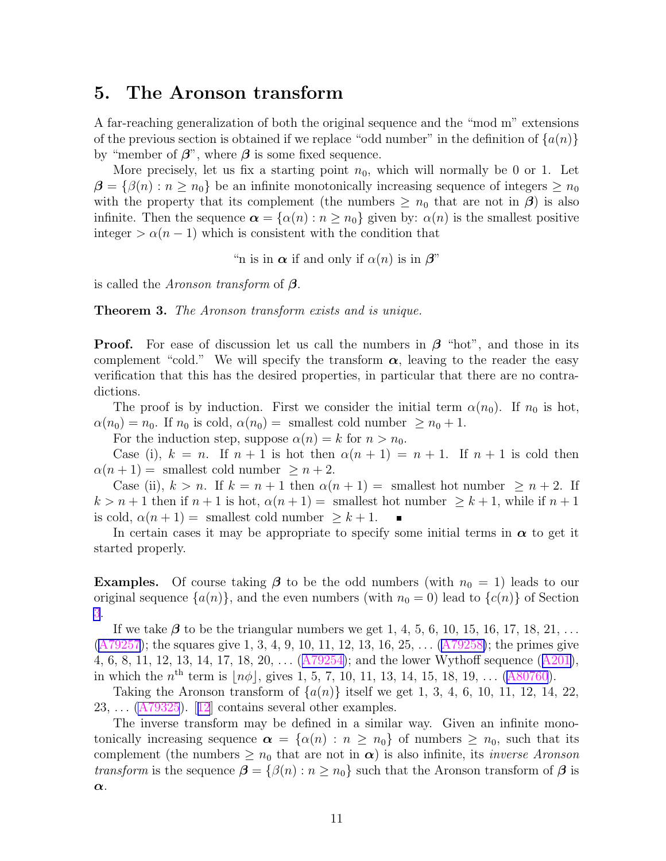### <span id="page-10-0"></span>5. The Aronson transform

A far-reaching generalization of both the original sequence and the "mod m" extensions of the previous section is obtained if we replace "odd number" in the definition of  $\{a(n)\}$ by "member of  $\beta$ ", where  $\beta$  is some fixed sequence.

More precisely, let us fix a starting point  $n_0$ , which will normally be 0 or 1. Let  $\beta = {\beta(n) : n \ge n_0}$  be an infinite monotonically increasing sequence of integers  $\ge n_0$ with the property that its complement (the numbers  $\geq n_0$  that are not in  $\beta$ ) is also infinite. Then the sequence  $\alpha = {\alpha(n) : n \geq n_0}$  given by:  $\alpha(n)$  is the smallest positive integer  $> \alpha(n-1)$  which is consistent with the condition that

"n is in  $\alpha$  if and only if  $\alpha(n)$  is in  $\beta$ "

is called the Aronson transform of  $\beta$ .

Theorem 3. The Aronson transform exists and is unique.

**Proof.** For ease of discussion let us call the numbers in  $\beta$  "hot", and those in its complement "cold." We will specify the transform  $\alpha$ , leaving to the reader the easy verification that this has the desired properties, in particular that there are no contradictions.

The proof is by induction. First we consider the initial term  $\alpha(n_0)$ . If  $n_0$  is hot,  $\alpha(n_0) = n_0$ . If  $n_0$  is cold,  $\alpha(n_0) =$  smallest cold number  $\geq n_0 + 1$ .

For the induction step, suppose  $\alpha(n) = k$  for  $n > n_0$ .

Case (i),  $k = n$ . If  $n + 1$  is hot then  $\alpha(n + 1) = n + 1$ . If  $n + 1$  is cold then  $\alpha(n+1) =$  smallest cold number  $\geq n+2$ .

Case (ii),  $k > n$ . If  $k = n + 1$  then  $\alpha(n + 1) =$  smallest hot number  $\geq n + 2$ . If  $k > n+1$  then if  $n+1$  is hot,  $\alpha(n+1) =$  smallest hot number  $\geq k+1$ , while if  $n+1$ is cold,  $\alpha(n+1) =$  smallest cold number  $\geq k+1$ .

In certain cases it may be appropriate to specify some initial terms in  $\alpha$  to get it started properly.

**Examples.** Of course taking  $\beta$  to be the odd numbers (with  $n_0 = 1$ ) leads to our original sequence  $\{a(n)\}\$ , and the even numbers (with  $n_0 = 0$ ) lead to  $\{c(n)\}\$  of Section [3](#page-5-0).

If we take  $\beta$  to be the triangular numbers we get 1, 4, 5, 6, 10, 15, 16, 17, 18, 21, ... ([A79257\)](http://www.research.att.com/cgi-bin/access.cgi/as/njas/sequences/eisA.cgi?Anum=A079257); the squares give 1, 3, 4, 9, 10, 11, 12, 13, 16, 25, ... [\(A79258\)](http://www.research.att.com/cgi-bin/access.cgi/as/njas/sequences/eisA.cgi?Anum=A079258); the primes give 4, 6, 8, 11, 12, 13, 14, 17, 18, 20, . . . ([A79254\)](http://www.research.att.com/cgi-bin/access.cgi/as/njas/sequences/eisA.cgi?Anum=A079254); and the lower Wythoff sequence ([A201\)](http://www.research.att.com/cgi-bin/access.cgi/as/njas/sequences/eisA.cgi?Anum=A000201), in which the  $n^{\text{th}}$  term is  $\lfloor n\phi \rfloor$ , gives 1, 5, 7, 10, 11, 13, 14, 15, 18, 19, ... [\(A80760](http://www.research.att.com/cgi-bin/access.cgi/as/njas/sequences/eisA.cgi?Anum=A080760)).

Taking the Aronson transform of  $\{a(n)\}\$ itself we get 1, 3, 4, 6, 10, 11, 12, 14, 22,  $23, \ldots$  [\(A79325](http://www.research.att.com/cgi-bin/access.cgi/as/njas/sequences/eisA.cgi?Anum=A079325)). [[12](#page-13-0)] contains several other examples.

The inverse transform may be defined in a similar way. Given an infinite monotonically increasing sequence  $\alpha = {\alpha(n) : n \geq n_0}$  of numbers  $\geq n_0$ , such that its complement (the numbers  $\geq n_0$  that are not in  $\alpha$ ) is also infinite, its *inverse Aronson transform* is the sequence  $\beta = {\beta(n) : n \ge n_0}$  such that the Aronson transform of  $\beta$  is α.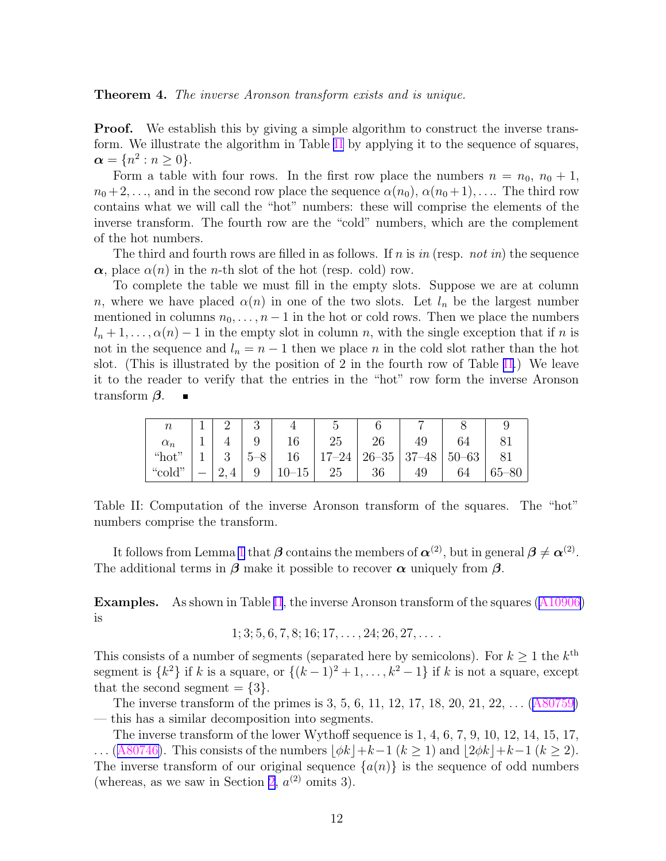#### Theorem 4. The inverse Aronson transform exists and is unique.

**Proof.** We establish this by giving a simple algorithm to construct the inverse transform. We illustrate the algorithm in Table II by applying it to the sequence of squares,  $\alpha = \{n^2 : n \geq 0\}.$ 

Form a table with four rows. In the first row place the numbers  $n = n_0, n_0 + 1$ ,  $n_0 + 2, \ldots$ , and in the second row place the sequence  $\alpha(n_0), \alpha(n_0+1), \ldots$  The third row contains what we will call the "hot" numbers: these will comprise the elements of the inverse transform. The fourth row are the "cold" numbers, which are the complement of the hot numbers.

The third and fourth rows are filled in as follows. If n is in (resp. not in) the sequence  $\alpha$ , place  $\alpha(n)$  in the *n*-th slot of the hot (resp. cold) row.

To complete the table we must fill in the empty slots. Suppose we are at column n, where we have placed  $\alpha(n)$  in one of the two slots. Let  $l_n$  be the largest number mentioned in columns  $n_0, \ldots, n-1$  in the hot or cold rows. Then we place the numbers  $l_n + 1, \ldots, \alpha(n) - 1$  in the empty slot in column n, with the single exception that if n is not in the sequence and  $l_n = n - 1$  then we place n in the cold slot rather than the hot slot. (This is illustrated by the position of 2 in the fourth row of Table II.) We leave it to the reader to verify that the entries in the "hot" row form the inverse Aronson transform  $\beta$ .

| $\, n$     |  |         |           |    |    |    |                                 |           |
|------------|--|---------|-----------|----|----|----|---------------------------------|-----------|
| $\alpha_n$ |  |         |           | 25 | 26 | 49 | 64                              | 81        |
| "hot"      |  | $5 - 8$ | 16        |    |    |    | $17-24$   26-35   37-48   50-63 | - 81      |
| "cold"     |  | ◡       | $10 - 15$ | 25 | 36 | 49 | 64                              | $65 - 80$ |

Table II: Computation of the inverse Aronson transform of the squares. The "hot" numbers comprise the transform.

It follows from Lemma [1](#page-4-0) that  $\beta$  contains the members of  $\alpha^{(2)}$ , but in general  $\beta \neq \alpha^{(2)}$ . The additional terms in  $\beta$  make it possible to recover  $\alpha$  uniquely from  $\beta$ .

**Examples.** As shown in Table II, the inverse Aronson transform of the squares  $(A10906)$  $(A10906)$ is

$$
1; 3; 5, 6, 7, 8; 16; 17, \ldots, 24; 26, 27, \ldots
$$

This consists of a number of segments (separated here by semicolons). For  $k \geq 1$  the  $k^{\text{th}}$ segment is  $\{k^2\}$  if k is a square, or  $\{(k-1)^2+1,\ldots,k^2-1\}$  if k is not a square, except that the second segment  $= \{3\}.$ 

The inverse transform of the primes is 3, 5, 6, 11, 12, 17, 18, 20, 21, 22, . . . ([A80759\)](http://www.research.att.com/cgi-bin/access.cgi/as/njas/sequences/eisA.cgi?Anum=A080759) — this has a similar decomposition into segments.

The inverse transform of the lower Wythoff sequence is 1, 4, 6, 7, 9, 10, 12, 14, 15, 17, ... ([A80746\)](http://www.research.att.com/cgi-bin/access.cgi/as/njas/sequences/eisA.cgi?Anum=A080746). This consists of the numbers  $|\phi k|+k-1$  ( $k \ge 1$ ) and  $|2\phi k|+k-1$  ( $k \ge 2$ ). The inverse transform of our original sequence  $\{a(n)\}\$ is the sequence of odd numbers (whereas, as we saw in Section [2,](#page-1-0)  $a^{(2)}$  omits 3).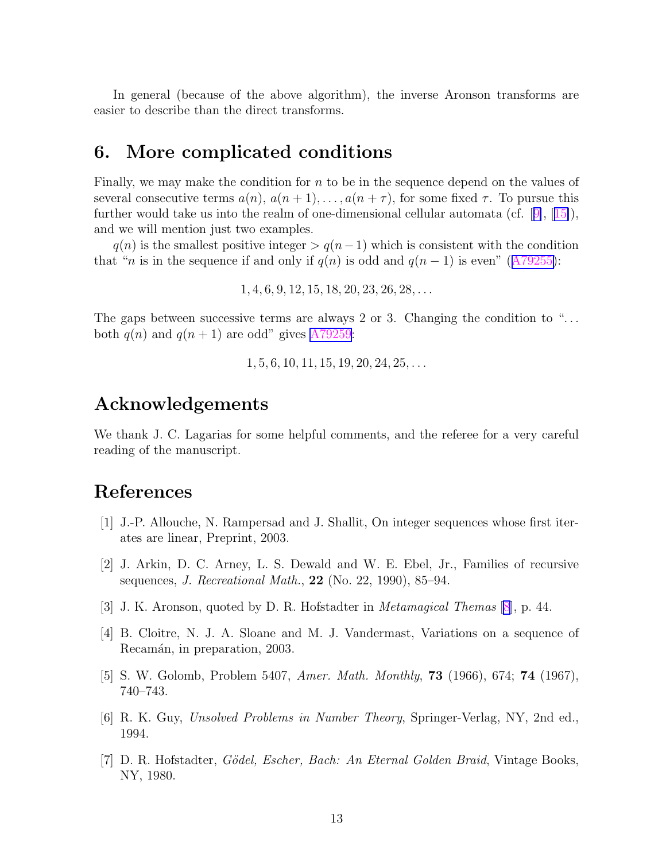<span id="page-12-0"></span>In general (because of the above algorithm), the inverse Aronson transforms are easier to describe than the direct transforms.

### 6. More complicated conditions

Finally, we may make the condition for  $n$  to be in the sequence depend on the values of several consecutive terms  $a(n)$ ,  $a(n+1)$ , ...,  $a(n+\tau)$ , for some fixed  $\tau$ . To pursue this further would take us into the realm of one-dimensional cellular automata (cf.  $[9]$  $[9]$ ,  $[15]$  $[15]$ ), and we will mention just two examples.

 $q(n)$  is the smallest positive integer >  $q(n-1)$  which is consistent with the condition that "*n* is in the sequence if and only if  $q(n)$  is odd and  $q(n - 1)$  is even" ([A79255\)](http://www.research.att.com/cgi-bin/access.cgi/as/njas/sequences/eisA.cgi?Anum=A079255):

 $1, 4, 6, 9, 12, 15, 18, 20, 23, 26, 28, \ldots$ 

The gaps between successive terms are always 2 or 3. Changing the condition to " $\dots$ " both  $q(n)$  and  $q(n + 1)$  are odd" gives [A79259](http://www.research.att.com/cgi-bin/access.cgi/as/njas/sequences/eisA.cgi?Anum=A079259):

 $1, 5, 6, 10, 11, 15, 19, 20, 24, 25, \ldots$ 

### Acknowledgements

We thank J. C. Lagarias for some helpful comments, and the referee for a very careful reading of the manuscript.

## References

- [1] J.-P. Allouche, N. Rampersad and J. Shallit, On integer sequences whose first iterates are linear, Preprint, 2003.
- [2] J. Arkin, D. C. Arney, L. S. Dewald and W. E. Ebel, Jr., Families of recursive sequences, *J. Recreational Math.*, **22** (No. 22, 1990), 85–94.
- [3] J. K. Aronson, quoted by D. R. Hofstadter in Metamagical Themas [\[8\]](#page-13-0), p. 44.
- [4] B. Cloitre, N. J. A. Sloane and M. J. Vandermast, Variations on a sequence of Recamán, in preparation, 2003.
- [5] S. W. Golomb, Problem 5407, Amer. Math. Monthly, 73 (1966), 674; 74 (1967), 740–743.
- [6] R. K. Guy, Unsolved Problems in Number Theory, Springer-Verlag, NY, 2nd ed., 1994.
- [7] D. R. Hofstadter, Gödel, Escher, Bach: An Eternal Golden Braid, Vintage Books, NY, 1980.